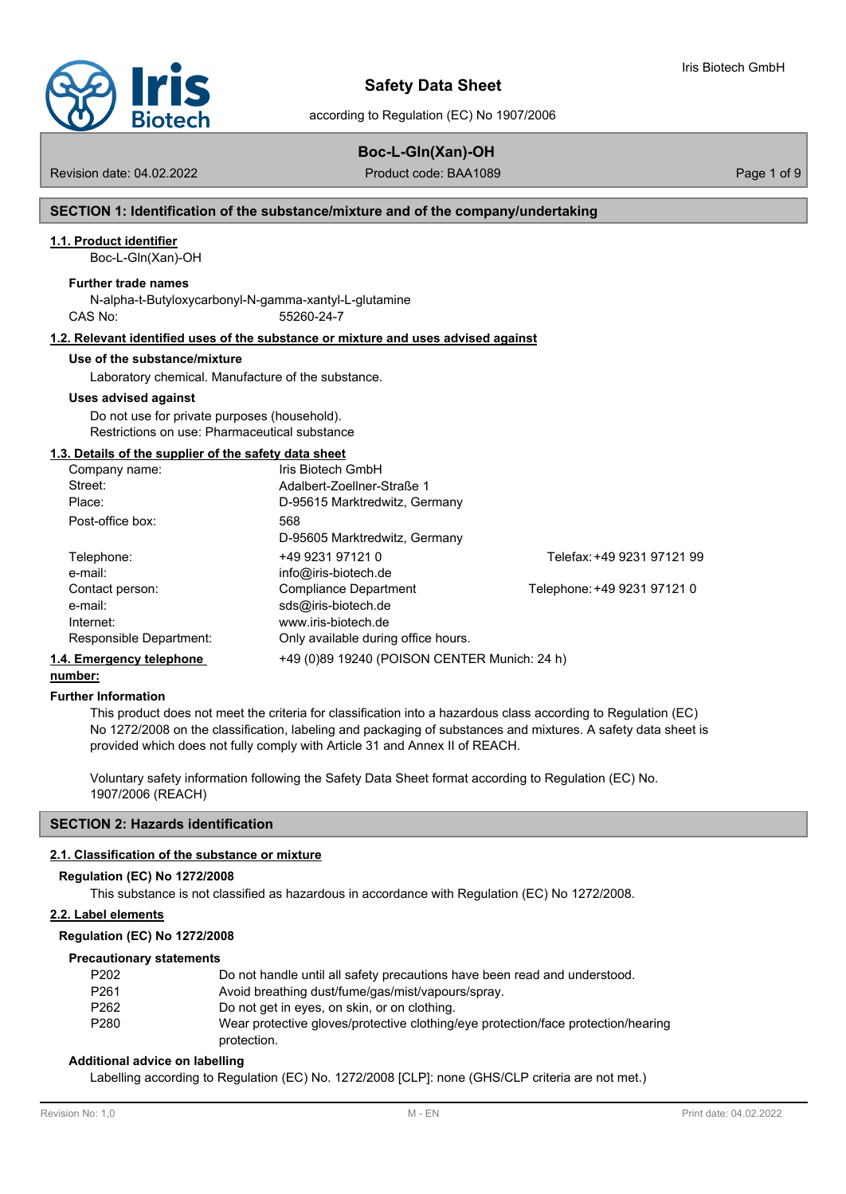

according to Regulation (EC) No 1907/2006

## **Boc-L-Gln(Xan)-OH**

Revision date: 04.02.2022 **Product code: BAA1089** Page 1 of 9

Iris Biotech GmbH

## **SECTION 1: Identification of the substance/mixture and of the company/undertaking**

## **1.1. Product identifier**

Boc-L-Gln(Xan)-OH

## **Further trade names**

N-alpha-t-Butyloxycarbonyl-N-gamma-xantyl-L-glutamine CAS No: 55260-24-7

## **1.2. Relevant identified uses of the substance or mixture and uses advised against**

#### **Use of the substance/mixture**

Laboratory chemical. Manufacture of the substance.

#### **Uses advised against**

Do not use for private purposes (household). Restrictions on use: Pharmaceutical substance

## **1.3. Details of the supplier of the safety data sheet**

| Company name:            | Iris Biotech GmbH                            |                             |
|--------------------------|----------------------------------------------|-----------------------------|
| Street:                  | Adalbert-Zoellner-Straße 1                   |                             |
| Place:                   | D-95615 Marktredwitz, Germany                |                             |
| Post-office box:         | 568                                          |                             |
|                          | D-95605 Marktredwitz, Germany                |                             |
| Telephone:               | +49 9231 97121 0                             | Telefax: +49 9231 97121 99  |
| e-mail:                  | info@iris-biotech.de                         |                             |
| Contact person:          | Compliance Department                        | Telephone: +49 9231 97121 0 |
| e-mail:                  | sds@iris-biotech.de                          |                             |
| Internet:                | www.iris-biotech.de                          |                             |
| Responsible Department:  | Only available during office hours.          |                             |
| 1.4. Emergency telephone | +49 (0)89 19240 (POISON CENTER Munich: 24 h) |                             |

## **number:**

#### **Further Information**

This product does not meet the criteria for classification into a hazardous class according to Regulation (EC) No 1272/2008 on the classification, labeling and packaging of substances and mixtures. A safety data sheet is provided which does not fully comply with Article 31 and Annex II of REACH.

Voluntary safety information following the Safety Data Sheet format according to Regulation (EC) No. 1907/2006 (REACH)

## **SECTION 2: Hazards identification**

## **2.1. Classification of the substance or mixture**

#### **Regulation (EC) No 1272/2008**

This substance is not classified as hazardous in accordance with Regulation (EC) No 1272/2008.

## **2.2. Label elements**

## **Regulation (EC) No 1272/2008**

## **Precautionary statements**

| P202 | Do not handle until all safety precautions have been read and understood.         |
|------|-----------------------------------------------------------------------------------|
| P261 | Avoid breathing dust/fume/gas/mist/vapours/spray.                                 |
| P262 | Do not get in eyes, on skin, or on clothing.                                      |
| P280 | Wear protective gloves/protective clothing/eye protection/face protection/hearing |
|      | protection.                                                                       |

## **Additional advice on labelling**

Labelling according to Regulation (EC) No. 1272/2008 [CLP]: none (GHS/CLP criteria are not met.)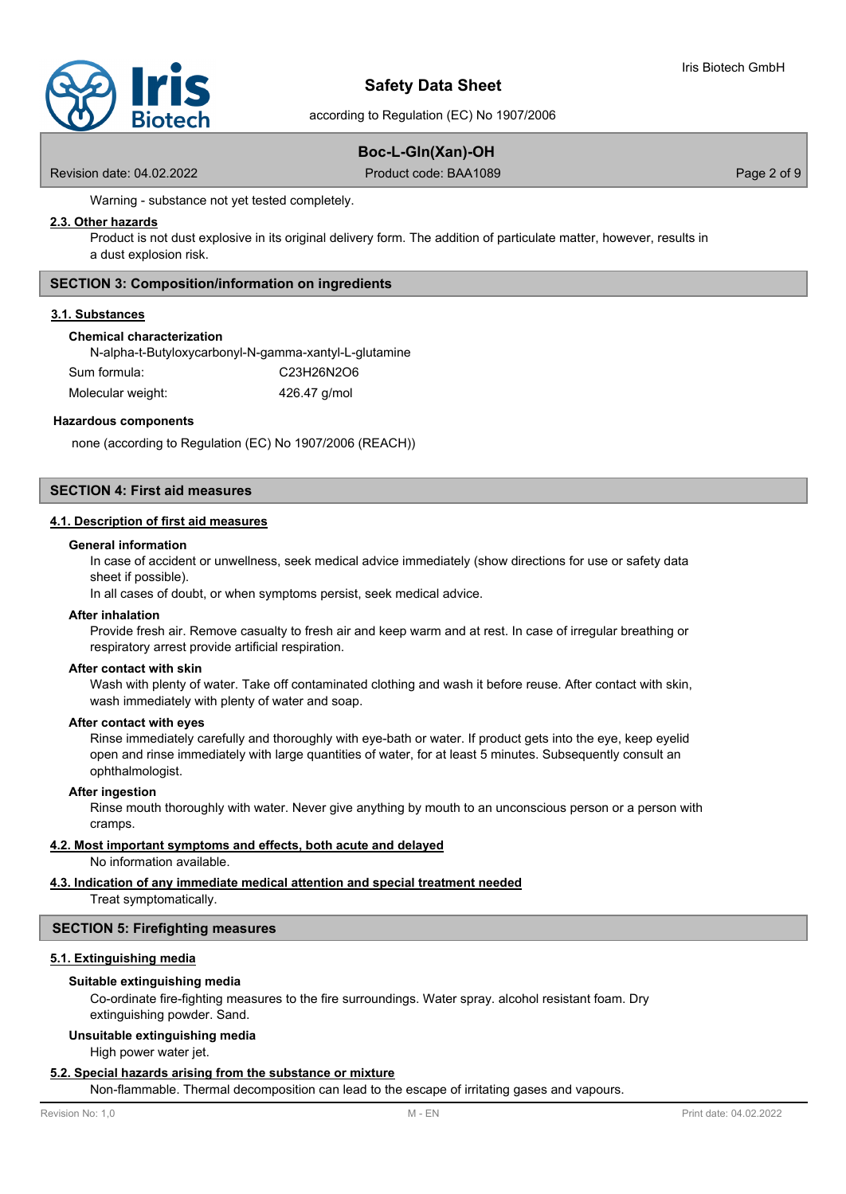

according to Regulation (EC) No 1907/2006

## **Boc-L-Gln(Xan)-OH**

Revision date: 04.02.2022 **Product code: BAA1089** Page 2 of 9

Warning - substance not yet tested completely.

## **2.3. Other hazards**

Product is not dust explosive in its original delivery form. The addition of particulate matter, however, results in a dust explosion risk.

## **SECTION 3: Composition/information on ingredients**

## **3.1. Substances**

## **Chemical characterization**

N-alpha-t-Butyloxycarbonyl-N-gamma-xantyl-L-glutamine Sum formula: C23H26N2O6

Molecular weight: 426.47 g/mol

## **Hazardous components**

none (according to Regulation (EC) No 1907/2006 (REACH))

## **SECTION 4: First aid measures**

## **4.1. Description of first aid measures**

#### **General information**

In case of accident or unwellness, seek medical advice immediately (show directions for use or safety data sheet if possible).

In all cases of doubt, or when symptoms persist, seek medical advice.

## **After inhalation**

Provide fresh air. Remove casualty to fresh air and keep warm and at rest. In case of irregular breathing or respiratory arrest provide artificial respiration.

#### **After contact with skin**

Wash with plenty of water. Take off contaminated clothing and wash it before reuse. After contact with skin, wash immediately with plenty of water and soap.

#### **After contact with eyes**

Rinse immediately carefully and thoroughly with eye-bath or water. If product gets into the eye, keep eyelid open and rinse immediately with large quantities of water, for at least 5 minutes. Subsequently consult an ophthalmologist.

#### **After ingestion**

Rinse mouth thoroughly with water. Never give anything by mouth to an unconscious person or a person with cramps.

## **4.2. Most important symptoms and effects, both acute and delayed**

No information available.

## **4.3. Indication of any immediate medical attention and special treatment needed**

Treat symptomatically.

## **SECTION 5: Firefighting measures**

## **5.1. Extinguishing media**

#### **Suitable extinguishing media**

Co-ordinate fire-fighting measures to the fire surroundings. Water spray. alcohol resistant foam. Dry extinguishing powder. Sand.

## **Unsuitable extinguishing media**

High power water jet.

## **5.2. Special hazards arising from the substance or mixture**

Non-flammable. Thermal decomposition can lead to the escape of irritating gases and vapours.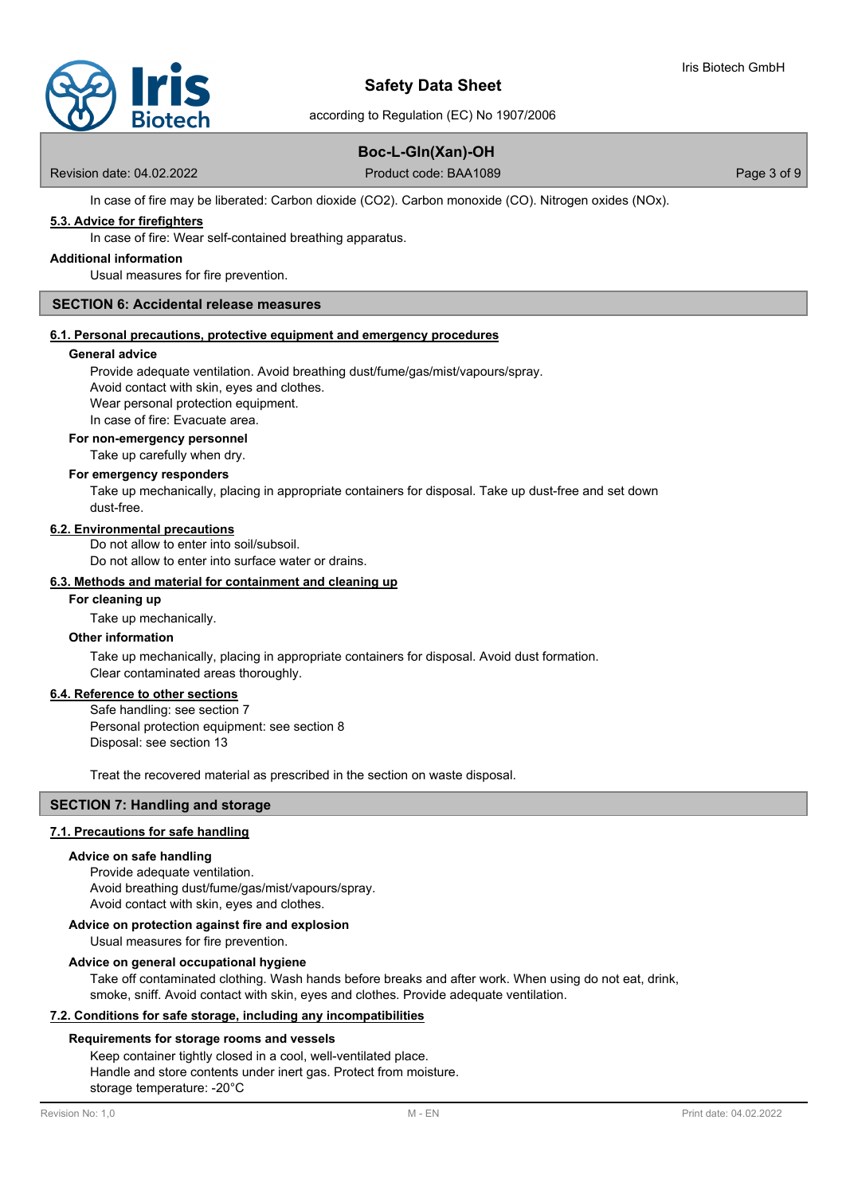

according to Regulation (EC) No 1907/2006

## **Boc-L-Gln(Xan)-OH**

Revision date: 04.02.2022 **Product code: BAA1089** Page 3 of 9

In case of fire may be liberated: Carbon dioxide (CO2). Carbon monoxide (CO). Nitrogen oxides (NOx).

## **5.3. Advice for firefighters**

In case of fire: Wear self-contained breathing apparatus.

## **Additional information**

Usual measures for fire prevention.

## **SECTION 6: Accidental release measures**

## **6.1. Personal precautions, protective equipment and emergency procedures**

#### **General advice**

Provide adequate ventilation. Avoid breathing dust/fume/gas/mist/vapours/spray.

Avoid contact with skin, eyes and clothes.

Wear personal protection equipment.

In case of fire: Evacuate area.

## **For non-emergency personnel**

Take up carefully when dry.

#### **For emergency responders**

Take up mechanically, placing in appropriate containers for disposal. Take up dust-free and set down dust-free.

#### **6.2. Environmental precautions**

Do not allow to enter into soil/subsoil. Do not allow to enter into surface water or drains.

#### **6.3. Methods and material for containment and cleaning up**

#### **For cleaning up**

Take up mechanically.

## **Other information**

Take up mechanically, placing in appropriate containers for disposal. Avoid dust formation. Clear contaminated areas thoroughly.

## **6.4. Reference to other sections**

Safe handling: see section 7 Personal protection equipment: see section 8 Disposal: see section 13

Treat the recovered material as prescribed in the section on waste disposal.

## **SECTION 7: Handling and storage**

## **7.1. Precautions for safe handling**

## **Advice on safe handling**

Provide adequate ventilation. Avoid breathing dust/fume/gas/mist/vapours/spray. Avoid contact with skin, eyes and clothes.

## **Advice on protection against fire and explosion**

Usual measures for fire prevention.

## **Advice on general occupational hygiene**

Take off contaminated clothing. Wash hands before breaks and after work. When using do not eat, drink, smoke, sniff. Avoid contact with skin, eyes and clothes. Provide adequate ventilation.

## **7.2. Conditions for safe storage, including any incompatibilities**

## **Requirements for storage rooms and vessels**

Keep container tightly closed in a cool, well-ventilated place. Handle and store contents under inert gas. Protect from moisture. storage temperature: -20°C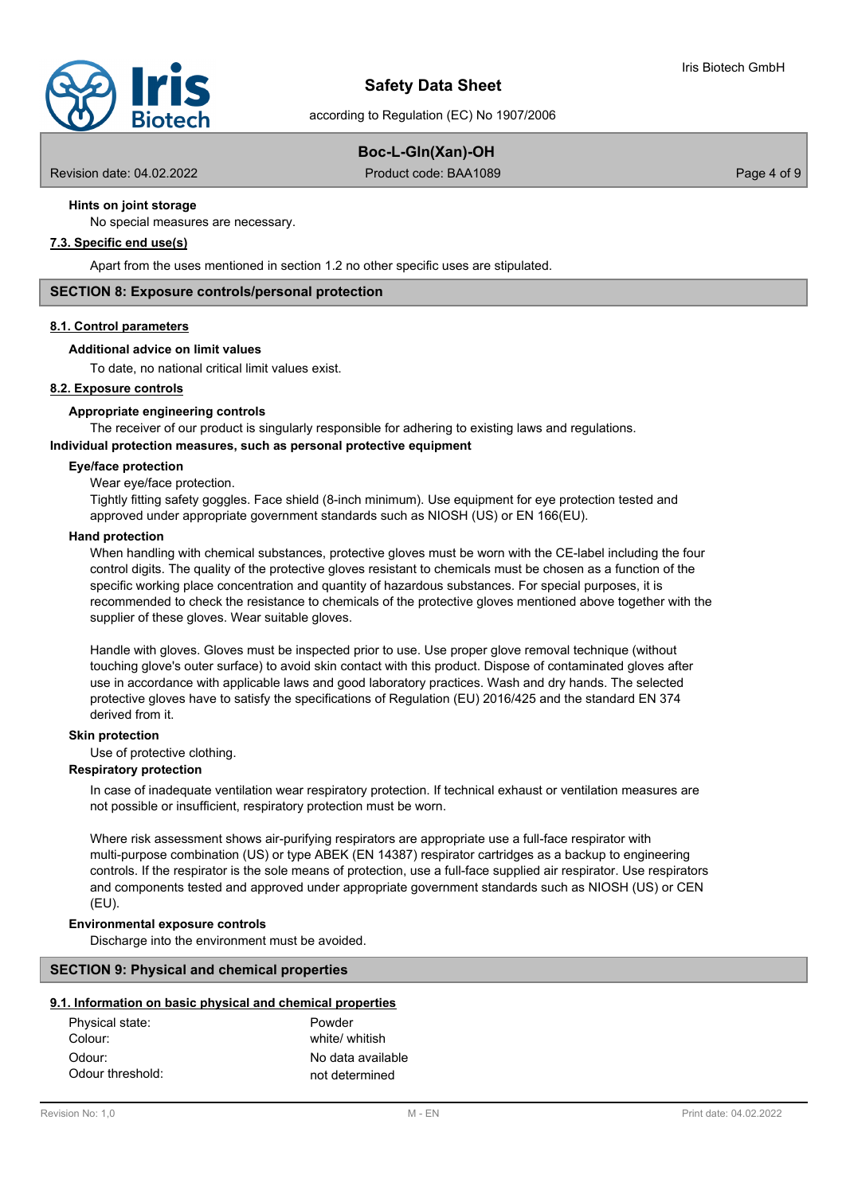according to Regulation (EC) No 1907/2006

## **Boc-L-Gln(Xan)-OH**

Revision date: 04.02.2022 **Product code: BAA1089** Page 4 of 9

## **Hints on joint storage**

No special measures are necessary.

## **7.3. Specific end use(s)**

Apart from the uses mentioned in section 1.2 no other specific uses are stipulated.

## **SECTION 8: Exposure controls/personal protection**

## **8.1. Control parameters**

## **Additional advice on limit values**

To date, no national critical limit values exist.

## **8.2. Exposure controls**

## **Appropriate engineering controls**

The receiver of our product is singularly responsible for adhering to existing laws and regulations.

## **Individual protection measures, such as personal protective equipment**

## **Eye/face protection**

Wear eye/face protection.

Tightly fitting safety goggles. Face shield (8-inch minimum). Use equipment for eye protection tested and approved under appropriate government standards such as NIOSH (US) or EN 166(EU).

#### **Hand protection**

When handling with chemical substances, protective gloves must be worn with the CE-label including the four control digits. The quality of the protective gloves resistant to chemicals must be chosen as a function of the specific working place concentration and quantity of hazardous substances. For special purposes, it is recommended to check the resistance to chemicals of the protective gloves mentioned above together with the supplier of these gloves. Wear suitable gloves.

Handle with gloves. Gloves must be inspected prior to use. Use proper glove removal technique (without touching glove's outer surface) to avoid skin contact with this product. Dispose of contaminated gloves after use in accordance with applicable laws and good laboratory practices. Wash and dry hands. The selected protective gloves have to satisfy the specifications of Regulation (EU) 2016/425 and the standard EN 374 derived from it.

#### **Skin protection**

Use of protective clothing.

## **Respiratory protection**

In case of inadequate ventilation wear respiratory protection. If technical exhaust or ventilation measures are not possible or insufficient, respiratory protection must be worn.

Where risk assessment shows air-purifying respirators are appropriate use a full-face respirator with multi-purpose combination (US) or type ABEK (EN 14387) respirator cartridges as a backup to engineering controls. If the respirator is the sole means of protection, use a full-face supplied air respirator. Use respirators and components tested and approved under appropriate government standards such as NIOSH (US) or CEN (EU).

## **Environmental exposure controls**

Discharge into the environment must be avoided.

## **SECTION 9: Physical and chemical properties**

## **9.1. Information on basic physical and chemical properties**

| Physical state:  | Powder            |
|------------------|-------------------|
| Colour:          | white/ whitish    |
| Odour:           | No data available |
| Odour threshold: | not determined    |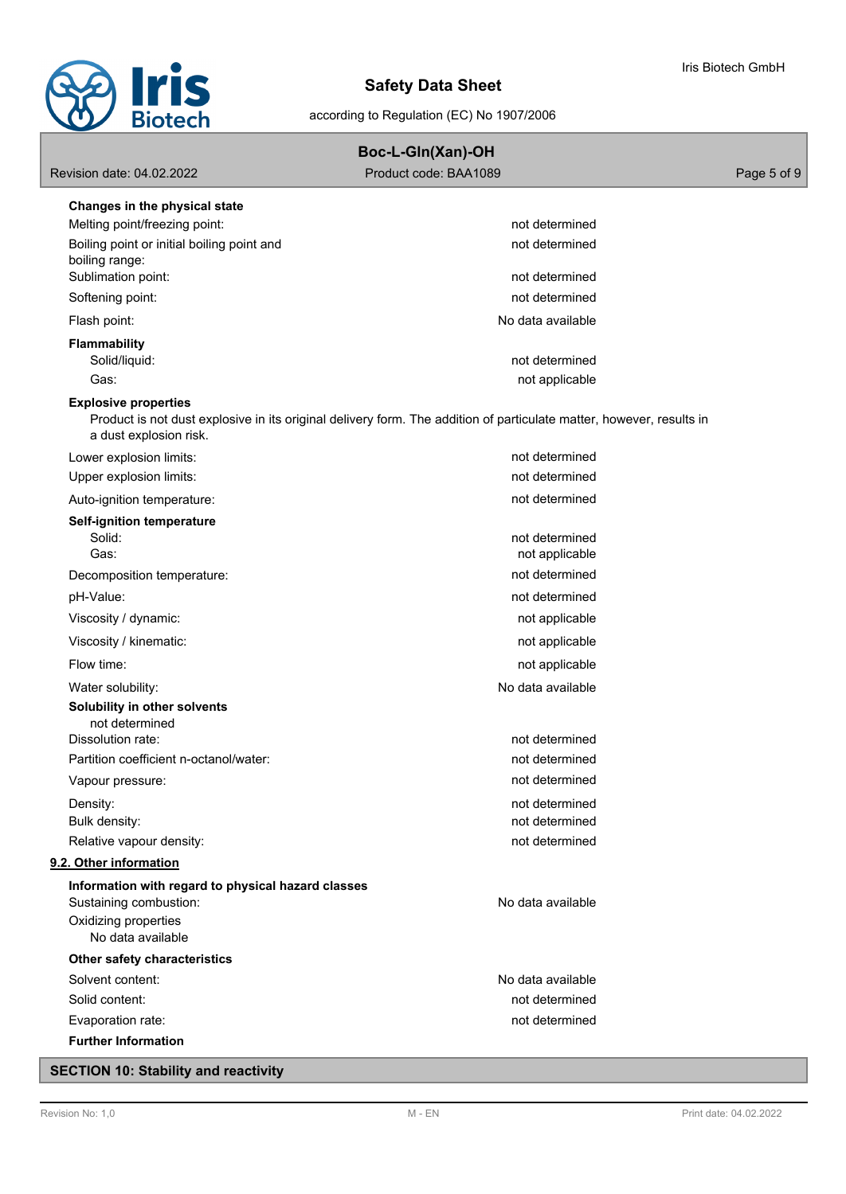

according to Regulation (EC) No 1907/2006

| Boc-L-Gln(Xan)-OH |  |
|-------------------|--|

| Revision date: 04.02.2022 | Product code: BAA1089 | Page 5 of 9 |
|---------------------------|-----------------------|-------------|
|                           |                       |             |

| not determined    |                                                                                                                                                                                                                                                                                                                                                                                                       |
|-------------------|-------------------------------------------------------------------------------------------------------------------------------------------------------------------------------------------------------------------------------------------------------------------------------------------------------------------------------------------------------------------------------------------------------|
| not determined    |                                                                                                                                                                                                                                                                                                                                                                                                       |
|                   |                                                                                                                                                                                                                                                                                                                                                                                                       |
|                   |                                                                                                                                                                                                                                                                                                                                                                                                       |
|                   |                                                                                                                                                                                                                                                                                                                                                                                                       |
|                   |                                                                                                                                                                                                                                                                                                                                                                                                       |
|                   |                                                                                                                                                                                                                                                                                                                                                                                                       |
|                   |                                                                                                                                                                                                                                                                                                                                                                                                       |
|                   |                                                                                                                                                                                                                                                                                                                                                                                                       |
|                   |                                                                                                                                                                                                                                                                                                                                                                                                       |
| not determined    |                                                                                                                                                                                                                                                                                                                                                                                                       |
| not determined    |                                                                                                                                                                                                                                                                                                                                                                                                       |
| not determined    |                                                                                                                                                                                                                                                                                                                                                                                                       |
|                   |                                                                                                                                                                                                                                                                                                                                                                                                       |
| not determined    |                                                                                                                                                                                                                                                                                                                                                                                                       |
|                   |                                                                                                                                                                                                                                                                                                                                                                                                       |
|                   |                                                                                                                                                                                                                                                                                                                                                                                                       |
|                   |                                                                                                                                                                                                                                                                                                                                                                                                       |
|                   |                                                                                                                                                                                                                                                                                                                                                                                                       |
| not applicable    |                                                                                                                                                                                                                                                                                                                                                                                                       |
| not applicable    |                                                                                                                                                                                                                                                                                                                                                                                                       |
| No data available |                                                                                                                                                                                                                                                                                                                                                                                                       |
|                   |                                                                                                                                                                                                                                                                                                                                                                                                       |
|                   |                                                                                                                                                                                                                                                                                                                                                                                                       |
|                   |                                                                                                                                                                                                                                                                                                                                                                                                       |
|                   |                                                                                                                                                                                                                                                                                                                                                                                                       |
|                   |                                                                                                                                                                                                                                                                                                                                                                                                       |
|                   |                                                                                                                                                                                                                                                                                                                                                                                                       |
|                   |                                                                                                                                                                                                                                                                                                                                                                                                       |
|                   |                                                                                                                                                                                                                                                                                                                                                                                                       |
|                   |                                                                                                                                                                                                                                                                                                                                                                                                       |
| No data available |                                                                                                                                                                                                                                                                                                                                                                                                       |
|                   |                                                                                                                                                                                                                                                                                                                                                                                                       |
|                   |                                                                                                                                                                                                                                                                                                                                                                                                       |
| No data available |                                                                                                                                                                                                                                                                                                                                                                                                       |
| not determined    |                                                                                                                                                                                                                                                                                                                                                                                                       |
| not determined    |                                                                                                                                                                                                                                                                                                                                                                                                       |
|                   |                                                                                                                                                                                                                                                                                                                                                                                                       |
|                   | not determined<br>not determined<br>No data available<br>not determined<br>not applicable<br>Product is not dust explosive in its original delivery form. The addition of particulate matter, however, results in<br>not applicable<br>not determined<br>not determined<br>not applicable<br>not determined<br>not determined<br>not determined<br>not determined<br>not determined<br>not determined |

# **SECTION 10: Stability and reactivity**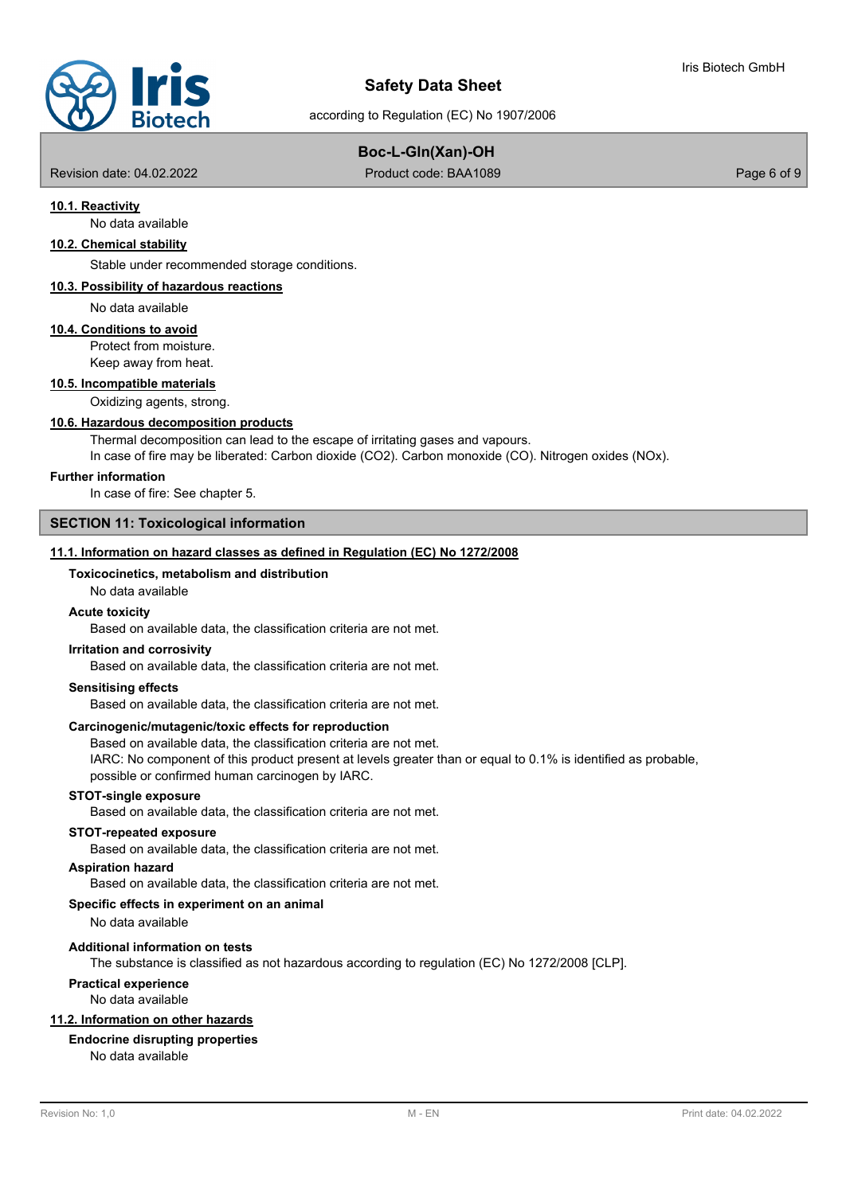

# according to Regulation (EC) No 1907/2006

## **Boc-L-Gln(Xan)-OH**

Revision date: 04.02.2022 **Product code: BAA1089** Page 6 of 9

## **10.1. Reactivity**

No data available

## **10.2. Chemical stability**

Stable under recommended storage conditions.

## **10.3. Possibility of hazardous reactions**

No data available

## **10.4. Conditions to avoid**

Protect from moisture. Keep away from heat.

#### **10.5. Incompatible materials**

Oxidizing agents, strong.

#### **10.6. Hazardous decomposition products**

Thermal decomposition can lead to the escape of irritating gases and vapours.

In case of fire may be liberated: Carbon dioxide (CO2). Carbon monoxide (CO). Nitrogen oxides (NOx).

#### **Further information**

In case of fire: See chapter 5.

## **SECTION 11: Toxicological information**

## **11.1. Information on hazard classes as defined in Regulation (EC) No 1272/2008**

## **Toxicocinetics, metabolism and distribution**

## No data available

## **Acute toxicity**

Based on available data, the classification criteria are not met.

#### **Irritation and corrosivity**

Based on available data, the classification criteria are not met.

## **Sensitising effects**

Based on available data, the classification criteria are not met.

#### **Carcinogenic/mutagenic/toxic effects for reproduction**

Based on available data, the classification criteria are not met.

IARC: No component of this product present at levels greater than or equal to 0.1% is identified as probable, possible or confirmed human carcinogen by IARC.

#### **STOT-single exposure**

Based on available data, the classification criteria are not met.

#### **STOT-repeated exposure**

Based on available data, the classification criteria are not met.

#### **Aspiration hazard**

Based on available data, the classification criteria are not met.

## **Specific effects in experiment on an animal**

No data available

#### **Additional information on tests**

The substance is classified as not hazardous according to regulation (EC) No 1272/2008 [CLP].

## **Practical experience**

No data available

## **11.2. Information on other hazards**

## **Endocrine disrupting properties**

No data available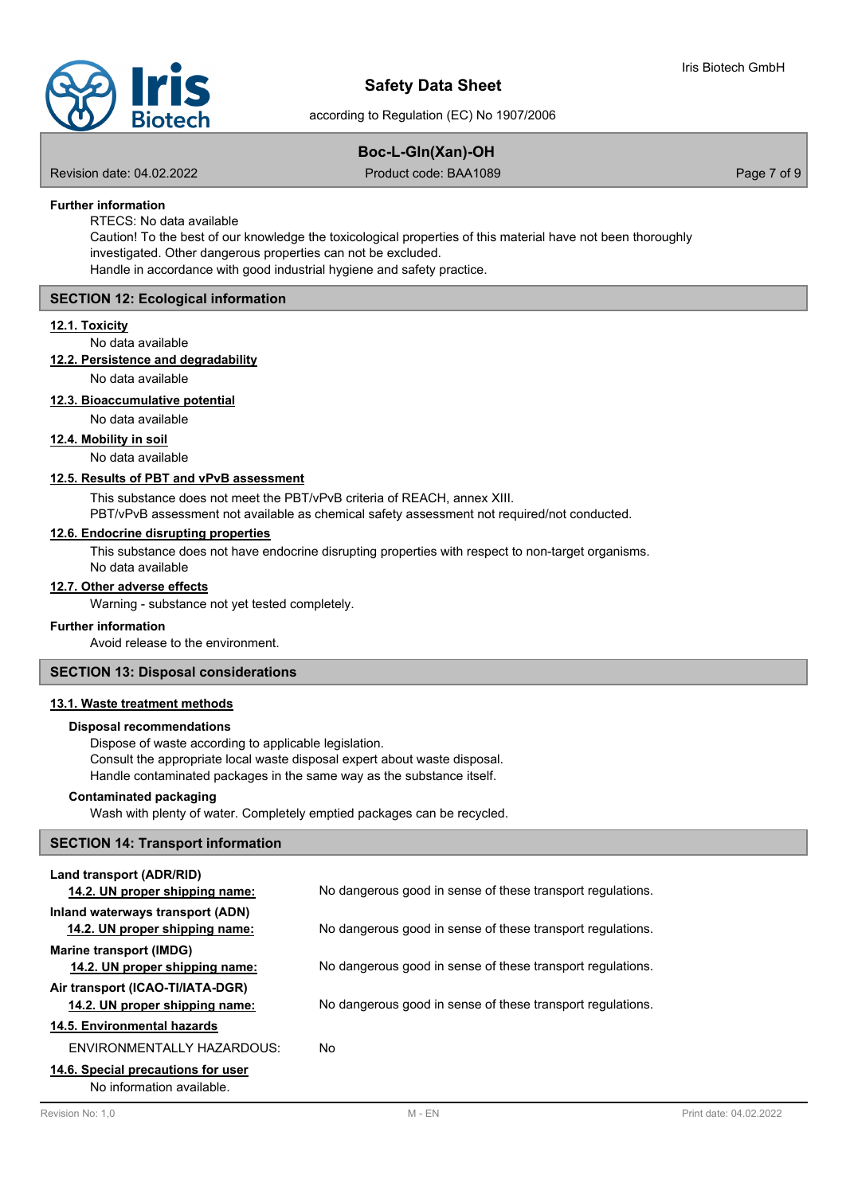according to Regulation (EC) No 1907/2006

# **Boc-L-Gln(Xan)-OH**

Revision date: 04.02.2022 **Product code: BAA1089** Page 7 of 9

## **Further information**

RTECS: No data available

Caution! To the best of our knowledge the toxicological properties of this material have not been thoroughly investigated. Other dangerous properties can not be excluded. Handle in accordance with good industrial hygiene and safety practice.

## **SECTION 12: Ecological information**

## **12.1. Toxicity**

No data available

## **12.2. Persistence and degradability**

No data available

## **12.3. Bioaccumulative potential**

## No data available

**12.4. Mobility in soil**

No data available

## **12.5. Results of PBT and vPvB assessment**

This substance does not meet the PBT/vPvB criteria of REACH, annex XIII.

PBT/vPvB assessment not available as chemical safety assessment not required/not conducted.

## **12.6. Endocrine disrupting properties**

This substance does not have endocrine disrupting properties with respect to non-target organisms.

No data available

## **12.7. Other adverse effects**

Warning - substance not yet tested completely.

## **Further information**

Avoid release to the environment.

## **SECTION 13: Disposal considerations**

## **13.1. Waste treatment methods**

## **Disposal recommendations**

Dispose of waste according to applicable legislation. Consult the appropriate local waste disposal expert about waste disposal. Handle contaminated packages in the same way as the substance itself.

## **Contaminated packaging**

Wash with plenty of water. Completely emptied packages can be recycled.

## **SECTION 14: Transport information**

| Land transport (ADR/RID)<br>14.2. UN proper shipping name:         | No dangerous good in sense of these transport regulations. |
|--------------------------------------------------------------------|------------------------------------------------------------|
| Inland waterways transport (ADN)<br>14.2. UN proper shipping name: | No dangerous good in sense of these transport regulations. |
| Marine transport (IMDG)<br>14.2. UN proper shipping name:          | No dangerous good in sense of these transport regulations. |
| Air transport (ICAO-TI/IATA-DGR)<br>14.2. UN proper shipping name: | No dangerous good in sense of these transport regulations. |
| 14.5. Environmental hazards                                        |                                                            |
| ENVIRONMENTALLY HAZARDOUS:                                         | No                                                         |
| 14.6. Special precautions for user<br>No information available     |                                                            |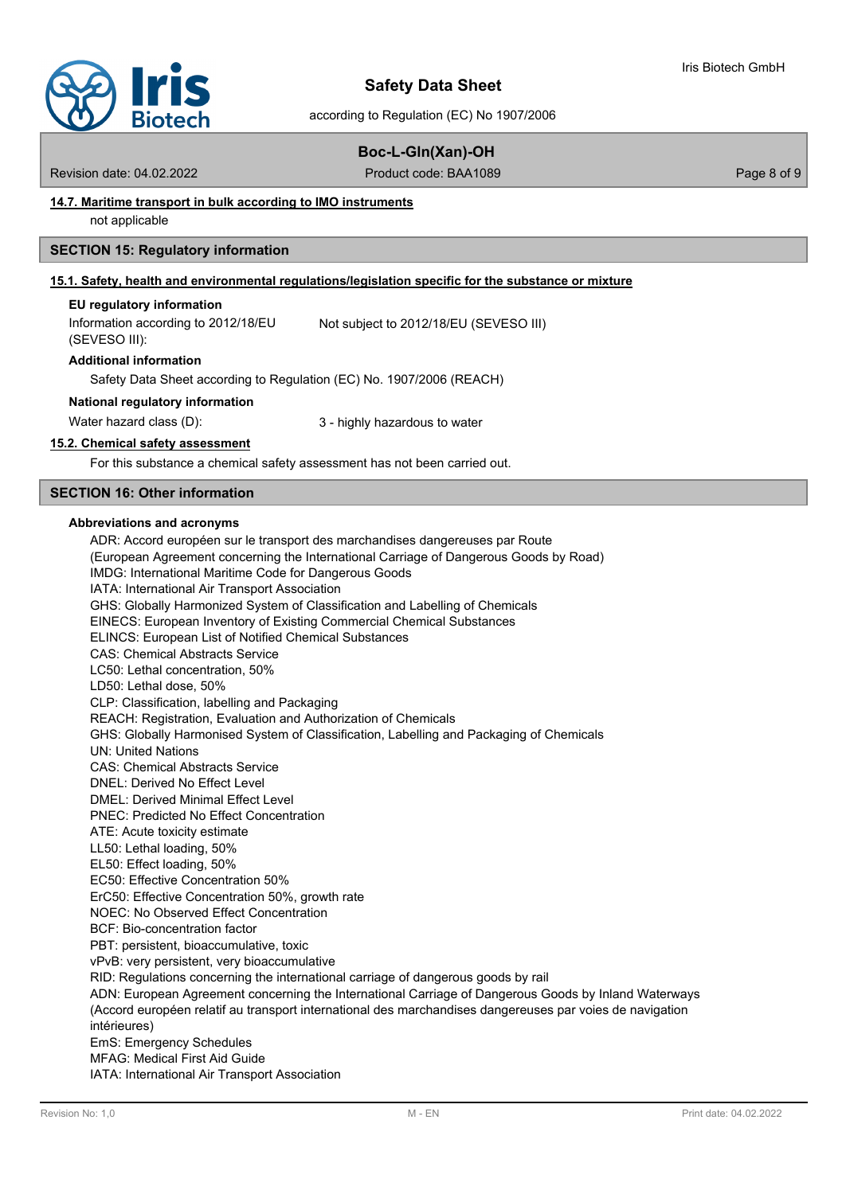

according to Regulation (EC) No 1907/2006

## **Boc-L-Gln(Xan)-OH**

Revision date: 04.02.2022 **Product code: BAA1089** Page 8 of 9

## **14.7. Maritime transport in bulk according to IMO instruments**

not applicable

## **SECTION 15: Regulatory information**

## **15.1. Safety, health and environmental regulations/legislation specific for the substance or mixture**

#### **EU regulatory information**

Information according to 2012/18/EU (SEVESO III): Not subject to 2012/18/EU (SEVESO III)

#### **Additional information**

Safety Data Sheet according to Regulation (EC) No. 1907/2006 (REACH)

#### **National regulatory information**

Water hazard class (D):  $\qquad \qquad 3$  - highly hazardous to water

## **15.2. Chemical safety assessment**

For this substance a chemical safety assessment has not been carried out.

## **SECTION 16: Other information**

## **Abbreviations and acronyms**

ADR: Accord européen sur le transport des marchandises dangereuses par Route (European Agreement concerning the International Carriage of Dangerous Goods by Road) IMDG: International Maritime Code for Dangerous Goods IATA: International Air Transport Association GHS: Globally Harmonized System of Classification and Labelling of Chemicals EINECS: European Inventory of Existing Commercial Chemical Substances ELINCS: European List of Notified Chemical Substances CAS: Chemical Abstracts Service LC50: Lethal concentration, 50% LD50: Lethal dose, 50% CLP: Classification, labelling and Packaging REACH: Registration, Evaluation and Authorization of Chemicals GHS: Globally Harmonised System of Classification, Labelling and Packaging of Chemicals UN: United Nations CAS: Chemical Abstracts Service DNEL: Derived No Effect Level DMEL: Derived Minimal Effect Level PNEC: Predicted No Effect Concentration ATE: Acute toxicity estimate LL50: Lethal loading, 50% EL50: Effect loading, 50% EC50: Effective Concentration 50% ErC50: Effective Concentration 50%, growth rate NOEC: No Observed Effect Concentration BCF: Bio-concentration factor PBT: persistent, bioaccumulative, toxic vPvB: very persistent, very bioaccumulative RID: Regulations concerning the international carriage of dangerous goods by rail ADN: European Agreement concerning the International Carriage of Dangerous Goods by Inland Waterways (Accord européen relatif au transport international des marchandises dangereuses par voies de navigation intérieures) EmS: Emergency Schedules MFAG: Medical First Aid Guide IATA: International Air Transport Association